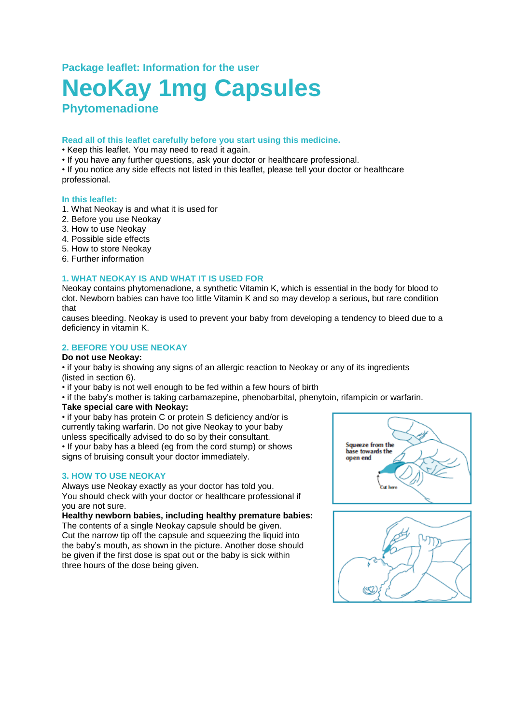# **Package leaflet: Information for the user NeoKay 1mg Capsules Phytomenadione**

# **Read all of this leaflet carefully before you start using this medicine.**

• Keep this leaflet. You may need to read it again.

• If you have any further questions, ask your doctor or healthcare professional.

• If you notice any side effects not listed in this leaflet, please tell your doctor or healthcare professional.

### **In this leaflet:**

- 1. What Neokay is and what it is used for
- 2. Before you use Neokay
- 3. How to use Neokay
- 4. Possible side effects
- 5. How to store Neokay
- 6. Further information

### **1. WHAT NEOKAY IS AND WHAT IT IS USED FOR**

Neokay contains phytomenadione, a synthetic Vitamin K, which is essential in the body for blood to clot. Newborn babies can have too little Vitamin K and so may develop a serious, but rare condition that

causes bleeding. Neokay is used to prevent your baby from developing a tendency to bleed due to a deficiency in vitamin K.

# **2. BEFORE YOU USE NEOKAY**

#### **Do not use Neokay:**

• if your baby is showing any signs of an allergic reaction to Neokay or any of its ingredients (listed in section 6).

• if your baby is not well enough to be fed within a few hours of birth

• if the baby's mother is taking carbamazepine, phenobarbital, phenytoin, rifampicin or warfarin.

#### **Take special care with Neokay:**

• if your baby has protein C or protein S deficiency and/or is currently taking warfarin. Do not give Neokay to your baby unless specifically advised to do so by their consultant.

• If your baby has a bleed (eg from the cord stump) or shows signs of bruising consult your doctor immediately.

# **3. HOW TO USE NEOKAY**

Always use Neokay exactly as your doctor has told you. You should check with your doctor or healthcare professional if you are not sure.

**Healthy newborn babies, including healthy premature babies:**

The contents of a single Neokay capsule should be given. Cut the narrow tip off the capsule and squeezing the liquid into the baby's mouth, as shown in the picture. Another dose should be given if the first dose is spat out or the baby is sick within three hours of the dose being given.